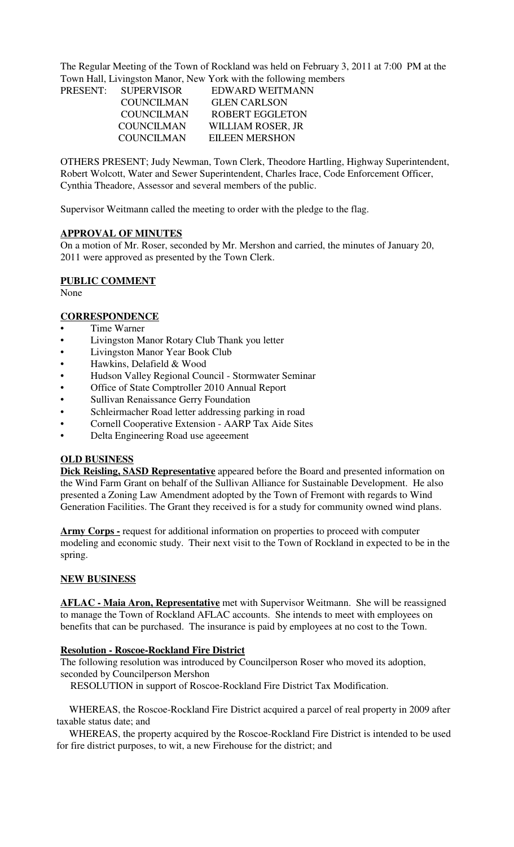The Regular Meeting of the Town of Rockland was held on February 3, 2011 at 7:00 PM at the Town Hall, Livingston Manor, New York with the following members

| PRESENT: SUPERVISOR | EDWARD WEITMANN        |  |
|---------------------|------------------------|--|
| <b>COUNCILMAN</b>   | <b>GLEN CARLSON</b>    |  |
| COUNCILMAN          | <b>ROBERT EGGLETON</b> |  |
| <b>COUNCILMAN</b>   | WILLIAM ROSER, JR      |  |
| <b>COUNCILMAN</b>   | <b>EILEEN MERSHON</b>  |  |

OTHERS PRESENT; Judy Newman, Town Clerk, Theodore Hartling, Highway Superintendent, Robert Wolcott, Water and Sewer Superintendent, Charles Irace, Code Enforcement Officer, Cynthia Theadore, Assessor and several members of the public.

Supervisor Weitmann called the meeting to order with the pledge to the flag.

### **APPROVAL OF MINUTES**

On a motion of Mr. Roser, seconded by Mr. Mershon and carried, the minutes of January 20, 2011 were approved as presented by the Town Clerk.

## **PUBLIC COMMENT**

None

### **CORRESPONDENCE**

- Time Warner
- Livingston Manor Rotary Club Thank you letter
- Livingston Manor Year Book Club
- Hawkins, Delafield & Wood
- Hudson Valley Regional Council Stormwater Seminar
- Office of State Comptroller 2010 Annual Report
- Sullivan Renaissance Gerry Foundation
- Schleirmacher Road letter addressing parking in road
- Cornell Cooperative Extension AARP Tax Aide Sites
- Delta Engineering Road use ageeement

### **OLD BUSINESS**

**Dick Reisling, SASD Representative** appeared before the Board and presented information on the Wind Farm Grant on behalf of the Sullivan Alliance for Sustainable Development. He also presented a Zoning Law Amendment adopted by the Town of Fremont with regards to Wind Generation Facilities. The Grant they received is for a study for community owned wind plans.

**Army Corps -** request for additional information on properties to proceed with computer modeling and economic study. Their next visit to the Town of Rockland in expected to be in the spring.

### **NEW BUSINESS**

**AFLAC - Maia Aron, Representative** met with Supervisor Weitmann. She will be reassigned to manage the Town of Rockland AFLAC accounts. She intends to meet with employees on benefits that can be purchased. The insurance is paid by employees at no cost to the Town.

### **Resolution - Roscoe-Rockland Fire District**

The following resolution was introduced by Councilperson Roser who moved its adoption, seconded by Councilperson Mershon

RESOLUTION in support of Roscoe-Rockland Fire District Tax Modification.

 WHEREAS, the Roscoe-Rockland Fire District acquired a parcel of real property in 2009 after taxable status date; and

 WHEREAS, the property acquired by the Roscoe-Rockland Fire District is intended to be used for fire district purposes, to wit, a new Firehouse for the district; and